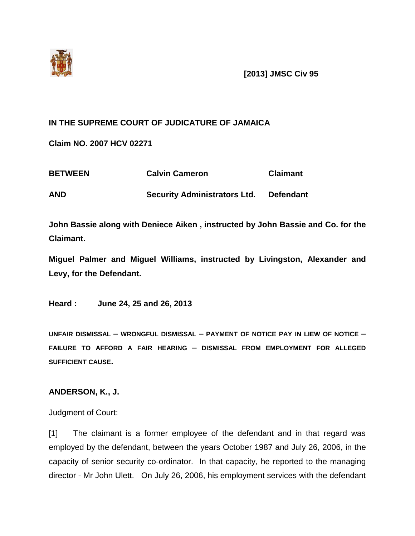

## **IN THE SUPREME COURT OF JUDICATURE OF JAMAICA**

**Claim NO. 2007 HCV 02271**

| <b>BETWEEN</b> | <b>Calvin Cameron</b>               | <b>Claimant</b>  |
|----------------|-------------------------------------|------------------|
| <b>AND</b>     | <b>Security Administrators Ltd.</b> | <b>Defendant</b> |

**John Bassie along with Deniece Aiken , instructed by John Bassie and Co. for the Claimant.**

**Miguel Palmer and Miguel Williams, instructed by Livingston, Alexander and Levy, for the Defendant.** 

**Heard : June 24, 25 and 26, 2013** 

**UNFAIR DISMISSAL – WRONGFUL DISMISSAL – PAYMENT OF NOTICE PAY IN LIEW OF NOTICE – FAILURE TO AFFORD A FAIR HEARING – DISMISSAL FROM EMPLOYMENT FOR ALLEGED SUFFICIENT CAUSE.**

## **ANDERSON, K., J.**

Judgment of Court:

[1] The claimant is a former employee of the defendant and in that regard was employed by the defendant, between the years October 1987 and July 26, 2006, in the capacity of senior security co-ordinator. In that capacity, he reported to the managing director - Mr John Ulett. On July 26, 2006, his employment services with the defendant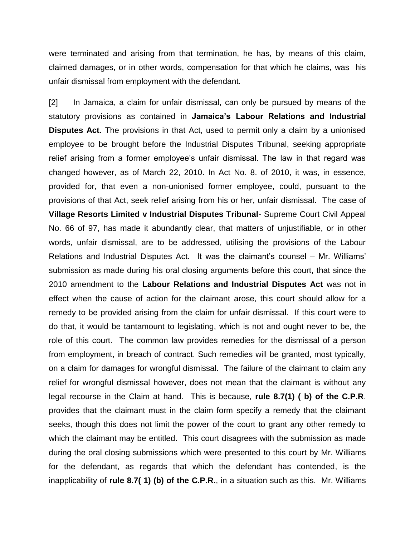were terminated and arising from that termination, he has, by means of this claim, claimed damages, or in other words, compensation for that which he claims, was his unfair dismissal from employment with the defendant.

[2] In Jamaica, a claim for unfair dismissal, can only be pursued by means of the statutory provisions as contained in **Jamaica's Labour Relations and Industrial Disputes Act**. The provisions in that Act, used to permit only a claim by a unionised employee to be brought before the Industrial Disputes Tribunal, seeking appropriate relief arising from a former employee's unfair dismissal. The law in that regard was changed however, as of March 22, 2010. In Act No. 8. of 2010, it was, in essence, provided for, that even a non-unionised former employee, could, pursuant to the provisions of that Act, seek relief arising from his or her, unfair dismissal. The case of **Village Resorts Limited v Industrial Disputes Tribunal**- Supreme Court Civil Appeal No. 66 of 97, has made it abundantly clear, that matters of unjustifiable, or in other words, unfair dismissal, are to be addressed, utilising the provisions of the Labour Relations and Industrial Disputes Act. It was the claimant's counsel – Mr. Williams' submission as made during his oral closing arguments before this court, that since the 2010 amendment to the **Labour Relations and Industrial Disputes Act** was not in effect when the cause of action for the claimant arose, this court should allow for a remedy to be provided arising from the claim for unfair dismissal. If this court were to do that, it would be tantamount to legislating, which is not and ought never to be, the role of this court. The common law provides remedies for the dismissal of a person from employment, in breach of contract. Such remedies will be granted, most typically, on a claim for damages for wrongful dismissal. The failure of the claimant to claim any relief for wrongful dismissal however, does not mean that the claimant is without any legal recourse in the Claim at hand. This is because, **rule 8.7(1) ( b) of the C.P.R**. provides that the claimant must in the claim form specify a remedy that the claimant seeks, though this does not limit the power of the court to grant any other remedy to which the claimant may be entitled. This court disagrees with the submission as made during the oral closing submissions which were presented to this court by Mr. Williams for the defendant, as regards that which the defendant has contended, is the inapplicability of **rule 8.7( 1) (b) of the C.P.R.**, in a situation such as this. Mr. Williams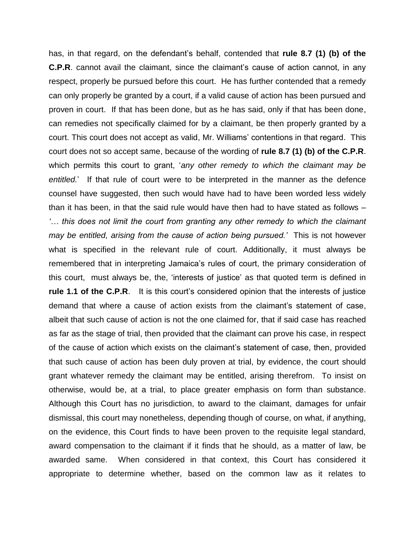has, in that regard, on the defendant's behalf, contended that **rule 8.7 (1) (b) of the C.P.R**. cannot avail the claimant, since the claimant's cause of action cannot, in any respect, properly be pursued before this court. He has further contended that a remedy can only properly be granted by a court, if a valid cause of action has been pursued and proven in court. If that has been done, but as he has said, only if that has been done, can remedies not specifically claimed for by a claimant, be then properly granted by a court. This court does not accept as valid, Mr. Williams' contentions in that regard. This court does not so accept same, because of the wording of **rule 8.7 (1) (b) of the C.P.R**. which permits this court to grant, '*any other remedy to which the claimant may be entitled.*' If that rule of court were to be interpreted in the manner as the defence counsel have suggested, then such would have had to have been worded less widely than it has been, in that the said rule would have then had to have stated as follows *– '… this does not limit the court from granting any other remedy to which the claimant may be entitled, arising from the cause of action being pursued.'* This is not however what is specified in the relevant rule of court. Additionally, it must always be remembered that in interpreting Jamaica's rules of court, the primary consideration of this court, must always be, the, 'interests of justice' as that quoted term is defined in **rule 1.1 of the C.P.R.** It is this court's considered opinion that the interests of justice demand that where a cause of action exists from the claimant's statement of case, albeit that such cause of action is not the one claimed for, that if said case has reached as far as the stage of trial, then provided that the claimant can prove his case, in respect of the cause of action which exists on the claimant's statement of case, then, provided that such cause of action has been duly proven at trial, by evidence, the court should grant whatever remedy the claimant may be entitled, arising therefrom. To insist on otherwise, would be, at a trial, to place greater emphasis on form than substance. Although this Court has no jurisdiction, to award to the claimant, damages for unfair dismissal, this court may nonetheless, depending though of course, on what, if anything, on the evidence, this Court finds to have been proven to the requisite legal standard, award compensation to the claimant if it finds that he should, as a matter of law, be awarded same. When considered in that context, this Court has considered it appropriate to determine whether, based on the common law as it relates to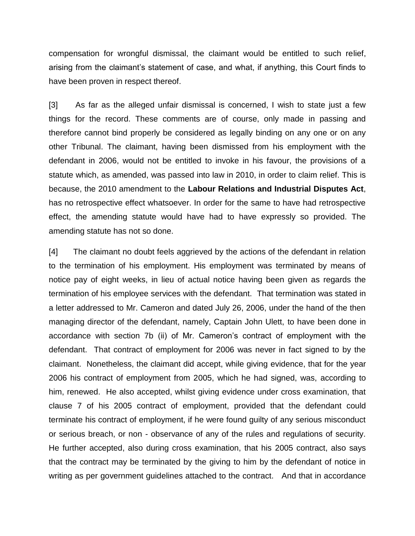compensation for wrongful dismissal, the claimant would be entitled to such relief, arising from the claimant's statement of case, and what, if anything, this Court finds to have been proven in respect thereof.

[3] As far as the alleged unfair dismissal is concerned, I wish to state just a few things for the record. These comments are of course, only made in passing and therefore cannot bind properly be considered as legally binding on any one or on any other Tribunal. The claimant, having been dismissed from his employment with the defendant in 2006, would not be entitled to invoke in his favour, the provisions of a statute which, as amended, was passed into law in 2010, in order to claim relief. This is because, the 2010 amendment to the **Labour Relations and Industrial Disputes Act**, has no retrospective effect whatsoever. In order for the same to have had retrospective effect, the amending statute would have had to have expressly so provided. The amending statute has not so done.

[4] The claimant no doubt feels aggrieved by the actions of the defendant in relation to the termination of his employment. His employment was terminated by means of notice pay of eight weeks, in lieu of actual notice having been given as regards the termination of his employee services with the defendant. That termination was stated in a letter addressed to Mr. Cameron and dated July 26, 2006, under the hand of the then managing director of the defendant, namely, Captain John Ulett, to have been done in accordance with section 7b (ii) of Mr. Cameron's contract of employment with the defendant. That contract of employment for 2006 was never in fact signed to by the claimant. Nonetheless, the claimant did accept, while giving evidence, that for the year 2006 his contract of employment from 2005, which he had signed, was, according to him, renewed. He also accepted, whilst giving evidence under cross examination, that clause 7 of his 2005 contract of employment, provided that the defendant could terminate his contract of employment, if he were found guilty of any serious misconduct or serious breach, or non - observance of any of the rules and regulations of security. He further accepted, also during cross examination, that his 2005 contract, also says that the contract may be terminated by the giving to him by the defendant of notice in writing as per government guidelines attached to the contract. And that in accordance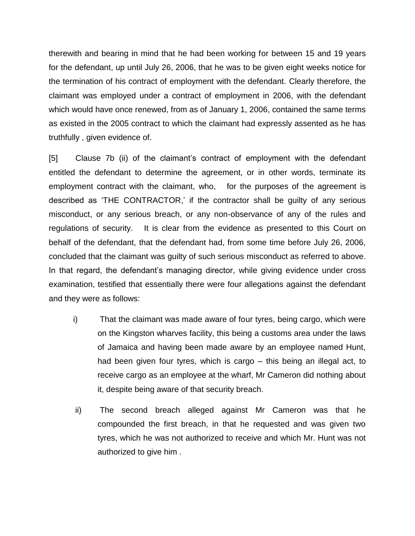therewith and bearing in mind that he had been working for between 15 and 19 years for the defendant, up until July 26, 2006, that he was to be given eight weeks notice for the termination of his contract of employment with the defendant. Clearly therefore, the claimant was employed under a contract of employment in 2006, with the defendant which would have once renewed, from as of January 1, 2006, contained the same terms as existed in the 2005 contract to which the claimant had expressly assented as he has truthfully , given evidence of.

[5] Clause 7b (ii) of the claimant's contract of employment with the defendant entitled the defendant to determine the agreement, or in other words, terminate its employment contract with the claimant, who, for the purposes of the agreement is described as 'THE CONTRACTOR,' if the contractor shall be guilty of any serious misconduct, or any serious breach, or any non-observance of any of the rules and regulations of security. It is clear from the evidence as presented to this Court on behalf of the defendant, that the defendant had, from some time before July 26, 2006, concluded that the claimant was guilty of such serious misconduct as referred to above. In that regard, the defendant's managing director, while giving evidence under cross examination, testified that essentially there were four allegations against the defendant and they were as follows:

- i) That the claimant was made aware of four tyres, being cargo, which were on the Kingston wharves facility, this being a customs area under the laws of Jamaica and having been made aware by an employee named Hunt, had been given four tyres, which is cargo – this being an illegal act, to receive cargo as an employee at the wharf, Mr Cameron did nothing about it, despite being aware of that security breach.
- ii) The second breach alleged against Mr Cameron was that he compounded the first breach, in that he requested and was given two tyres, which he was not authorized to receive and which Mr. Hunt was not authorized to give him .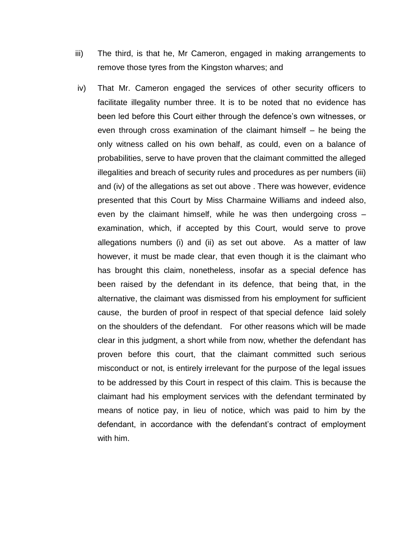- iii) The third, is that he, Mr Cameron, engaged in making arrangements to remove those tyres from the Kingston wharves; and
- iv) That Mr. Cameron engaged the services of other security officers to facilitate illegality number three. It is to be noted that no evidence has been led before this Court either through the defence's own witnesses, or even through cross examination of the claimant himself – he being the only witness called on his own behalf, as could, even on a balance of probabilities, serve to have proven that the claimant committed the alleged illegalities and breach of security rules and procedures as per numbers (iii) and (iv) of the allegations as set out above . There was however, evidence presented that this Court by Miss Charmaine Williams and indeed also, even by the claimant himself, while he was then undergoing cross – examination, which, if accepted by this Court, would serve to prove allegations numbers (i) and (ii) as set out above. As a matter of law however, it must be made clear, that even though it is the claimant who has brought this claim, nonetheless, insofar as a special defence has been raised by the defendant in its defence, that being that, in the alternative, the claimant was dismissed from his employment for sufficient cause, the burden of proof in respect of that special defence laid solely on the shoulders of the defendant. For other reasons which will be made clear in this judgment, a short while from now, whether the defendant has proven before this court, that the claimant committed such serious misconduct or not, is entirely irrelevant for the purpose of the legal issues to be addressed by this Court in respect of this claim. This is because the claimant had his employment services with the defendant terminated by means of notice pay, in lieu of notice, which was paid to him by the defendant, in accordance with the defendant's contract of employment with him.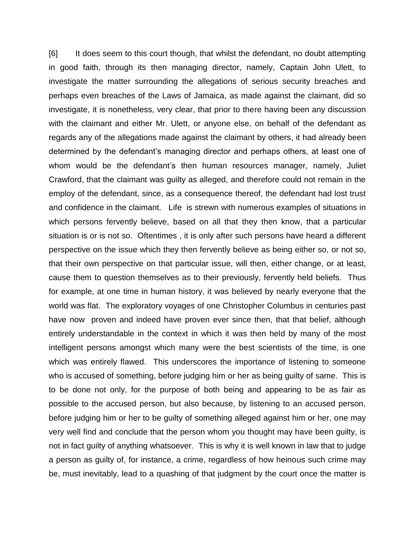[6] It does seem to this court though, that whilst the defendant, no doubt attempting in good faith, through its then managing director, namely, Captain John Ulett, to investigate the matter surrounding the allegations of serious security breaches and perhaps even breaches of the Laws of Jamaica, as made against the claimant, did so investigate, it is nonetheless, very clear, that prior to there having been any discussion with the claimant and either Mr. Ulett, or anyone else, on behalf of the defendant as regards any of the allegations made against the claimant by others, it had already been determined by the defendant's managing director and perhaps others, at least one of whom would be the defendant's then human resources manager, namely, Juliet Crawford, that the claimant was guilty as alleged, and therefore could not remain in the employ of the defendant, since, as a consequence thereof, the defendant had lost trust and confidence in the claimant. Life is strewn with numerous examples of situations in which persons fervently believe, based on all that they then know, that a particular situation is or is not so. Oftentimes , it is only after such persons have heard a different perspective on the issue which they then fervently believe as being either so, or not so, that their own perspective on that particular issue, will then, either change, or at least, cause them to question themselves as to their previously, fervently held beliefs. Thus for example, at one time in human history, it was believed by nearly everyone that the world was flat. The exploratory voyages of one Christopher Columbus in centuries past have now proven and indeed have proven ever since then, that that belief, although entirely understandable in the context in which it was then held by many of the most intelligent persons amongst which many were the best scientists of the time, is one which was entirely flawed. This underscores the importance of listening to someone who is accused of something, before judging him or her as being guilty of same. This is to be done not only, for the purpose of both being and appearing to be as fair as possible to the accused person, but also because, by listening to an accused person, before judging him or her to be guilty of something alleged against him or her, one may very well find and conclude that the person whom you thought may have been guilty, is not in fact guilty of anything whatsoever. This is why it is well known in law that to judge a person as guilty of, for instance, a crime, regardless of how heinous such crime may be, must inevitably, lead to a quashing of that judgment by the court once the matter is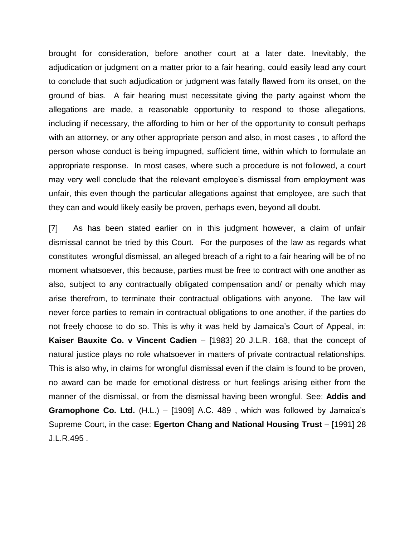brought for consideration, before another court at a later date. Inevitably, the adjudication or judgment on a matter prior to a fair hearing, could easily lead any court to conclude that such adjudication or judgment was fatally flawed from its onset, on the ground of bias. A fair hearing must necessitate giving the party against whom the allegations are made, a reasonable opportunity to respond to those allegations, including if necessary, the affording to him or her of the opportunity to consult perhaps with an attorney, or any other appropriate person and also, in most cases , to afford the person whose conduct is being impugned, sufficient time, within which to formulate an appropriate response. In most cases, where such a procedure is not followed, a court may very well conclude that the relevant employee's dismissal from employment was unfair, this even though the particular allegations against that employee, are such that they can and would likely easily be proven, perhaps even, beyond all doubt.

[7] As has been stated earlier on in this judgment however, a claim of unfair dismissal cannot be tried by this Court. For the purposes of the law as regards what constitutes wrongful dismissal, an alleged breach of a right to a fair hearing will be of no moment whatsoever, this because, parties must be free to contract with one another as also, subject to any contractually obligated compensation and/ or penalty which may arise therefrom, to terminate their contractual obligations with anyone. The law will never force parties to remain in contractual obligations to one another, if the parties do not freely choose to do so. This is why it was held by Jamaica's Court of Appeal, in: **Kaiser Bauxite Co. v Vincent Cadien** – [1983] 20 J.L.R. 168, that the concept of natural justice plays no role whatsoever in matters of private contractual relationships. This is also why, in claims for wrongful dismissal even if the claim is found to be proven, no award can be made for emotional distress or hurt feelings arising either from the manner of the dismissal, or from the dismissal having been wrongful. See: **Addis and Gramophone Co. Ltd.** (H.L.) – [1909] A.C. 489 , which was followed by Jamaica's Supreme Court, in the case: **Egerton Chang and National Housing Trust** – [1991] 28 J.L.R.495 .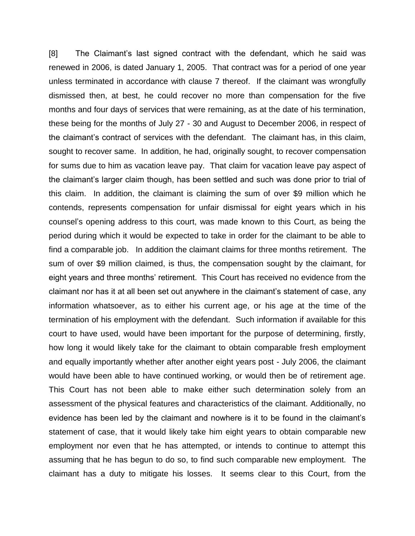[8] The Claimant's last signed contract with the defendant, which he said was renewed in 2006, is dated January 1, 2005. That contract was for a period of one year unless terminated in accordance with clause 7 thereof. If the claimant was wrongfully dismissed then, at best, he could recover no more than compensation for the five months and four days of services that were remaining, as at the date of his termination, these being for the months of July 27 - 30 and August to December 2006, in respect of the claimant's contract of services with the defendant. The claimant has, in this claim, sought to recover same. In addition, he had, originally sought, to recover compensation for sums due to him as vacation leave pay. That claim for vacation leave pay aspect of the claimant's larger claim though, has been settled and such was done prior to trial of this claim. In addition, the claimant is claiming the sum of over \$9 million which he contends, represents compensation for unfair dismissal for eight years which in his counsel's opening address to this court, was made known to this Court, as being the period during which it would be expected to take in order for the claimant to be able to find a comparable job. In addition the claimant claims for three months retirement. The sum of over \$9 million claimed, is thus, the compensation sought by the claimant, for eight years and three months' retirement. This Court has received no evidence from the claimant nor has it at all been set out anywhere in the claimant's statement of case, any information whatsoever, as to either his current age, or his age at the time of the termination of his employment with the defendant. Such information if available for this court to have used, would have been important for the purpose of determining, firstly, how long it would likely take for the claimant to obtain comparable fresh employment and equally importantly whether after another eight years post - July 2006, the claimant would have been able to have continued working, or would then be of retirement age. This Court has not been able to make either such determination solely from an assessment of the physical features and characteristics of the claimant. Additionally, no evidence has been led by the claimant and nowhere is it to be found in the claimant's statement of case, that it would likely take him eight years to obtain comparable new employment nor even that he has attempted, or intends to continue to attempt this assuming that he has begun to do so, to find such comparable new employment. The claimant has a duty to mitigate his losses. It seems clear to this Court, from the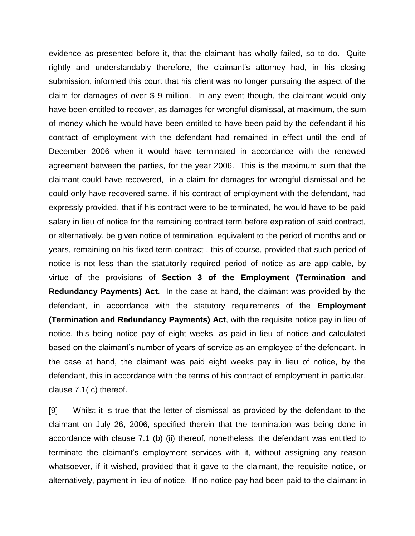evidence as presented before it, that the claimant has wholly failed, so to do. Quite rightly and understandably therefore, the claimant's attorney had, in his closing submission, informed this court that his client was no longer pursuing the aspect of the claim for damages of over \$ 9 million. In any event though, the claimant would only have been entitled to recover, as damages for wrongful dismissal, at maximum, the sum of money which he would have been entitled to have been paid by the defendant if his contract of employment with the defendant had remained in effect until the end of December 2006 when it would have terminated in accordance with the renewed agreement between the parties, for the year 2006. This is the maximum sum that the claimant could have recovered, in a claim for damages for wrongful dismissal and he could only have recovered same, if his contract of employment with the defendant, had expressly provided, that if his contract were to be terminated, he would have to be paid salary in lieu of notice for the remaining contract term before expiration of said contract, or alternatively, be given notice of termination, equivalent to the period of months and or years, remaining on his fixed term contract , this of course, provided that such period of notice is not less than the statutorily required period of notice as are applicable, by virtue of the provisions of **Section 3 of the Employment (Termination and Redundancy Payments) Act**. In the case at hand, the claimant was provided by the defendant, in accordance with the statutory requirements of the **Employment (Termination and Redundancy Payments) Act**, with the requisite notice pay in lieu of notice, this being notice pay of eight weeks, as paid in lieu of notice and calculated based on the claimant's number of years of service as an employee of the defendant. In the case at hand, the claimant was paid eight weeks pay in lieu of notice, by the defendant, this in accordance with the terms of his contract of employment in particular, clause 7.1( c) thereof.

[9] Whilst it is true that the letter of dismissal as provided by the defendant to the claimant on July 26, 2006, specified therein that the termination was being done in accordance with clause 7.1 (b) (ii) thereof, nonetheless, the defendant was entitled to terminate the claimant's employment services with it, without assigning any reason whatsoever, if it wished, provided that it gave to the claimant, the requisite notice, or alternatively, payment in lieu of notice. If no notice pay had been paid to the claimant in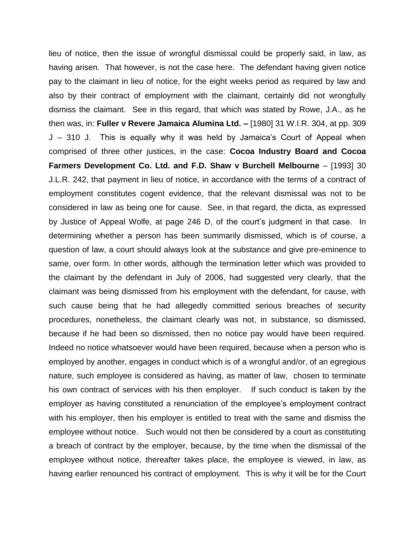lieu of notice, then the issue of wrongful dismissal could be properly said, in law, as having arisen. That however, is not the case here. The defendant having given notice pay to the claimant in lieu of notice, for the eight weeks period as required by law and also by their contract of employment with the claimant, certainly did not wrongfully dismiss the claimant. See in this regard, that which was stated by Rowe, J.A., as he then was, in: **Fuller v Revere Jamaica Alumina Ltd. –** [1980] 31 W.I.R. 304, at pp. 309 J – 310 J. This is equally why it was held by Jamaica's Court of Appeal when comprised of three other justices, in the case: **Cocoa Industry Board and Cocoa Farmers Development Co. Ltd. and F.D. Shaw v Burchell Melbourne** – [1993] 30 J.L.R. 242, that payment in lieu of notice, in accordance with the terms of a contract of employment constitutes cogent evidence, that the relevant dismissal was not to be considered in law as being one for cause. See, in that regard, the dicta, as expressed by Justice of Appeal Wolfe, at page 246 D, of the court's judgment in that case. In determining whether a person has been summarily dismissed, which is of course, a question of law, a court should always look at the substance and give pre-eminence to same, over form. In other words, although the termination letter which was provided to the claimant by the defendant in July of 2006, had suggested very clearly, that the claimant was being dismissed from his employment with the defendant, for cause, with such cause being that he had allegedly committed serious breaches of security procedures, nonetheless, the claimant clearly was not, in substance, so dismissed, because if he had been so dismissed, then no notice pay would have been required. Indeed no notice whatsoever would have been required, because when a person who is employed by another, engages in conduct which is of a wrongful and/or, of an egregious nature, such employee is considered as having, as matter of law, chosen to terminate his own contract of services with his then employer. If such conduct is taken by the employer as having constituted a renunciation of the employee's employment contract with his employer, then his employer is entitled to treat with the same and dismiss the employee without notice. Such would not then be considered by a court as constituting a breach of contract by the employer, because, by the time when the dismissal of the employee without notice, thereafter takes place, the employee is viewed, in law, as having earlier renounced his contract of employment. This is why it will be for the Court